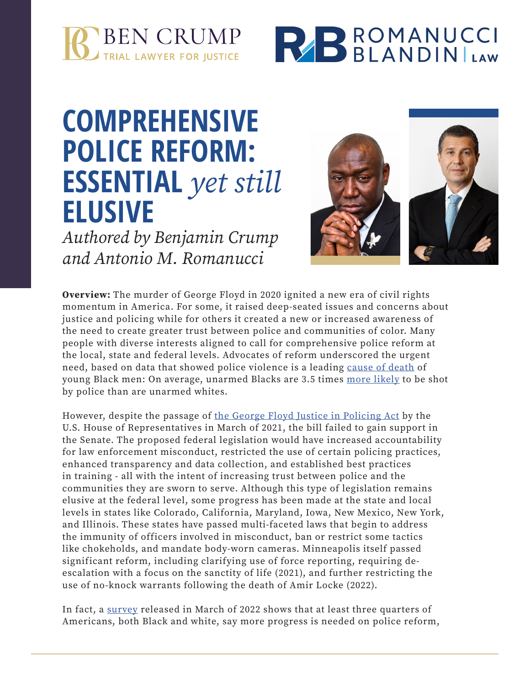



### **COMPREHENSIVE POLICE REFORM: ESSENTIAL** *yet still* **ELUSIVE**

*Authored by Benjamin Crump and Antonio M. Romanucci*



**Overview:** The murder of George Floyd in 2020 ignited a new era of civil rights momentum in America. For some, it raised deep-seated issues and concerns about justice and policing while for others it created a new or increased awareness of the need to create greater trust between police and communities of color. Many people with diverse interests aligned to call for comprehensive police reform at the local, state and federal levels. Advocates of reform underscored the urgent need, based on data that showed police violence is a leading [cause of death](https://www.pnas.org/content/116/34/16793) of young Black men: On average, unarmed Blacks are 3.5 times [more likely](https://www.ncbi.nlm.nih.gov/pmc/articles/PMC4634878/) to be shot by police than are unarmed whites.

However, despite the passage of [the George Floyd Justice in Policing Act](https://www.congress.gov/bill/117th-congress/house-bill/1280) by the U.S. House of Representatives in March of 2021, the bill failed to gain support in the Senate. The proposed federal legislation would have increased accountability for law enforcement misconduct, restricted the use of certain policing practices, enhanced transparency and data collection, and established best practices in training - all with the intent of increasing trust between police and the communities they are sworn to serve. Although this type of legislation remains elusive at the federal level, some progress has been made at the state and local levels in states like Colorado, California, Maryland, Iowa, New Mexico, New York, and Illinois. These states have passed multi-faceted laws that begin to address the immunity of officers involved in misconduct, ban or restrict some tactics like chokeholds, and mandate body-worn cameras. Minneapolis itself passed significant reform, including clarifying use of force reporting, requiring deescalation with a focus on the sanctity of life (2021), and further restricting the use of no-knock warrants following the death of Amir Locke (2022).

In fact, a [survey](https://apnorc.org/projects/evaluating-progress-for-racial-equality/) released in March of 2022 shows that at least three quarters of Americans, both Black and white, say more progress is needed on police reform,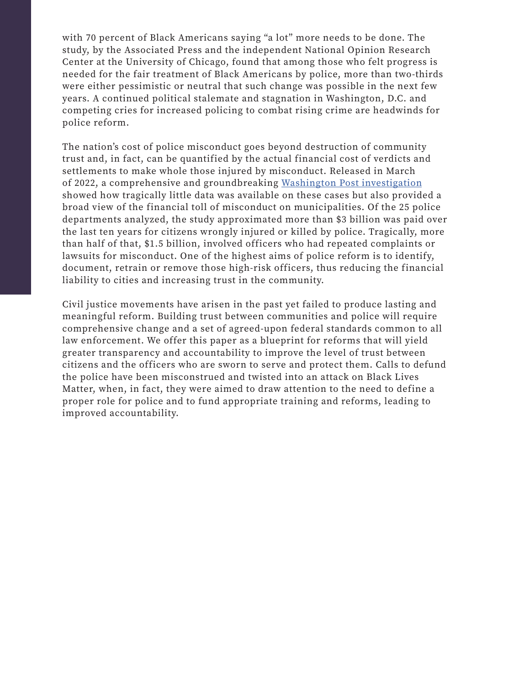with 70 percent of Black Americans saying "a lot" more needs to be done. The study, by the Associated Press and the independent National Opinion Research Center at the University of Chicago, found that among those who felt progress is needed for the fair treatment of Black Americans by police, more than two-thirds were either pessimistic or neutral that such change was possible in the next few years. A continued political stalemate and stagnation in Washington, D.C. and competing cries for increased policing to combat rising crime are headwinds for police reform.

The nation's cost of police misconduct goes beyond destruction of community trust and, in fact, can be quantified by the actual financial cost of verdicts and settlements to make whole those injured by misconduct. Released in March of 2022, a comprehensive and groundbreaking [Washington Post investigation](https://www.washingtonpost.com/investigations/interactive/2022/police-misconduct-repeated-settlements/?pwapi_token=eyJ0eXAiOiJKV1QiLCJhbGciOiJIUzI1NiJ9.eyJzdWJpZCI6IjI5NjgyNTUiLCJyZWFzb24iOiJnaWZ0IiwibmJmIjoxNjQ2ODM1NzU2LCJpc3MiOiJzdWJzY3JpcHRpb25zIiwiZXhwIjoxNjQ4MDQ1MzU2LCJpYXQiOjE2NDY4MzU3NTYsImp0aSI6IjZjMTZkYjU5LTQ3MjAtNGU5MC1iMDk2LTRhY2JlODMzY2FmOCIsInVybCI6Imh0dHBzOi8vd3d3Lndhc2hpbmd0b25wb3N0LmNvbS9pbnZlc3RpZ2F0aW9ucy9pbnRlcmFjdGl2ZS8yMDIyL3BvbGljZS1taXNjb25kdWN0LXJlcGVhdGVkLXNldHRsZW1lbnRzLyJ9.6BGsJNpsocjL1PNe5bSkJnhu3sYPKKl4aXLIbqafRGM&itid=gfta) showed how tragically little data was available on these cases but also provided a broad view of the financial toll of misconduct on municipalities. Of the 25 police departments analyzed, the study approximated more than \$3 billion was paid over the last ten years for citizens wrongly injured or killed by police. Tragically, more than half of that, \$1.5 billion, involved officers who had repeated complaints or lawsuits for misconduct. One of the highest aims of police reform is to identify, document, retrain or remove those high-risk officers, thus reducing the financial liability to cities and increasing trust in the community.

Civil justice movements have arisen in the past yet failed to produce lasting and meaningful reform. Building trust between communities and police will require comprehensive change and a set of agreed-upon federal standards common to all law enforcement. We offer this paper as a blueprint for reforms that will yield greater transparency and accountability to improve the level of trust between citizens and the officers who are sworn to serve and protect them. Calls to defund the police have been misconstrued and twisted into an attack on Black Lives Matter, when, in fact, they were aimed to draw attention to the need to define a proper role for police and to fund appropriate training and reforms, leading to improved accountability.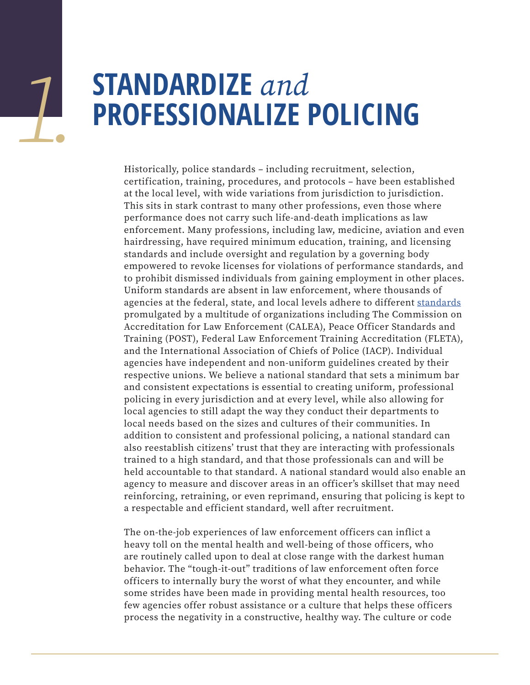# **STANDARDIZE** *and 1.* **PROFESSIONALIZE POLICING**

Historically, police standards – including recruitment, selection, certification, training, procedures, and protocols – have been established at the local level, with wide variations from jurisdiction to jurisdiction. This sits in stark contrast to many other professions, even those where performance does not carry such life-and-death implications as law enforcement. Many professions, including law, medicine, aviation and even hairdressing, have required minimum education, training, and licensing standards and include oversight and regulation by a governing body empowered to revoke licenses for violations of performance standards, and to prohibit dismissed individuals from gaining employment in other places. Uniform standards are absent in law enforcement, where thousands of agencies at the federal, state, and local levels adhere to different [standards](https://www.ibjonline.com/2020/11/12/lawmakers-ag-seek-tougher-certification-standards-for-law-enforcement/) promulgated by a multitude of organizations including The Commission on Accreditation for Law Enforcement (CALEA), Peace Officer Standards and Training (POST), Federal Law Enforcement Training Accreditation (FLETA), and the International Association of Chiefs of Police (IACP). Individual agencies have independent and non-uniform guidelines created by their respective unions. We believe a national standard that sets a minimum bar and consistent expectations is essential to creating uniform, professional policing in every jurisdiction and at every level, while also allowing for local agencies to still adapt the way they conduct their departments to local needs based on the sizes and cultures of their communities. In addition to consistent and professional policing, a national standard can also reestablish citizens' trust that they are interacting with professionals trained to a high standard, and that those professionals can and will be held accountable to that standard. A national standard would also enable an agency to measure and discover areas in an officer's skillset that may need reinforcing, retraining, or even reprimand, ensuring that policing is kept to a respectable and efficient standard, well after recruitment.

The on-the-job experiences of law enforcement officers can inflict a heavy toll on the mental health and well-being of those officers, who are routinely called upon to deal at close range with the darkest human behavior. The "tough-it-out" traditions of law enforcement often force officers to internally bury the worst of what they encounter, and while some strides have been made in providing mental health resources, too few agencies offer robust assistance or a culture that helps these officers process the negativity in a constructive, healthy way. The culture or code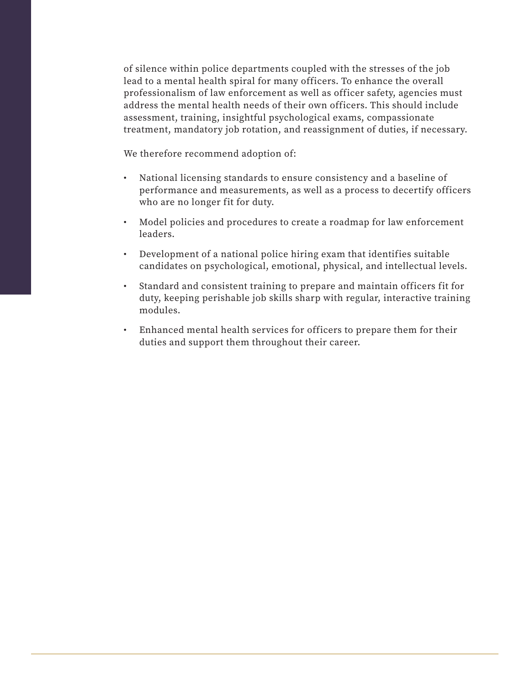of silence within police departments coupled with the stresses of the job lead to a mental health spiral for many officers. To enhance the overall professionalism of law enforcement as well as officer safety, agencies must address the mental health needs of their own officers. This should include assessment, training, insightful psychological exams, compassionate treatment, mandatory job rotation, and reassignment of duties, if necessary.

We therefore recommend adoption of:

- National licensing standards to ensure consistency and a baseline of performance and measurements, as well as a process to decertify officers who are no longer fit for duty.
- Model policies and procedures to create a roadmap for law enforcement leaders.
- Development of a national police hiring exam that identifies suitable candidates on psychological, emotional, physical, and intellectual levels.
- Standard and consistent training to prepare and maintain officers fit for duty, keeping perishable job skills sharp with regular, interactive training modules.
- Enhanced mental health services for officers to prepare them for their duties and support them throughout their career.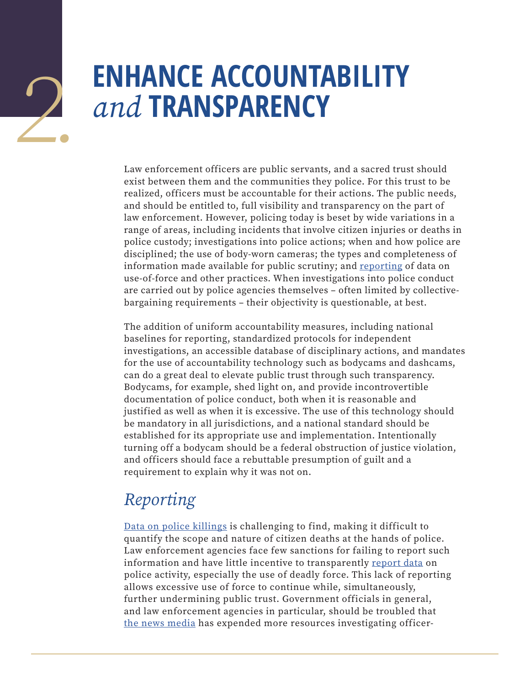## *2.* **ENHANCE ACCOUNTABILITY**  *and* **TRANSPARENCY**

Law enforcement officers are public servants, and a sacred trust should exist between them and the communities they police. For this trust to be realized, officers must be accountable for their actions. The public needs, and should be entitled to, full visibility and transparency on the part of law enforcement. However, policing today is beset by wide variations in a range of areas, including incidents that involve citizen injuries or deaths in police custody; investigations into police actions; when and how police are disciplined; the use of body-worn cameras; the types and completeness of information made available for public scrutiny; and [reporting](https://www.marketplace.org/2020/06/01/fbi-police-use-of-force-database/) of data on use-of-force and other practices. When investigations into police conduct are carried out by police agencies themselves – often limited by collectivebargaining requirements – their objectivity is questionable, at best.

The addition of uniform accountability measures, including national baselines for reporting, standardized protocols for independent investigations, an accessible database of disciplinary actions, and mandates for the use of accountability technology such as bodycams and dashcams, can do a great deal to elevate public trust through such transparency. Bodycams, for example, shed light on, and provide incontrovertible documentation of police conduct, both when it is reasonable and justified as well as when it is excessive. The use of this technology should be mandatory in all jurisdictions, and a national standard should be established for its appropriate use and implementation. Intentionally turning off a bodycam should be a federal obstruction of justice violation, and officers should face a rebuttable presumption of guilt and a requirement to explain why it was not on.

### *Reporting*

[Data on police killings](https://www.nbcnews.com/news/us-news/why-doesn-t-government-track-nationwide-police-use-force-n682626) is challenging to find, making it difficult to quantify the scope and nature of citizen deaths at the hands of police. Law enforcement agencies face few sanctions for failing to report such information and have little incentive to transparently [report data](https://wallacehouse.umich.edu/wp-content-uploads/2016/02/barry.pdf) on police activity, especially the use of deadly force. This lack of reporting allows excessive use of force to continue while, simultaneously, further undermining public trust. Government officials in general, and law enforcement agencies in particular, should be troubled that [the news media](https://www.theguardian.com/us-news/ng-interactive/2015/jun/01/about-the-counted) has expended more resources investigating officer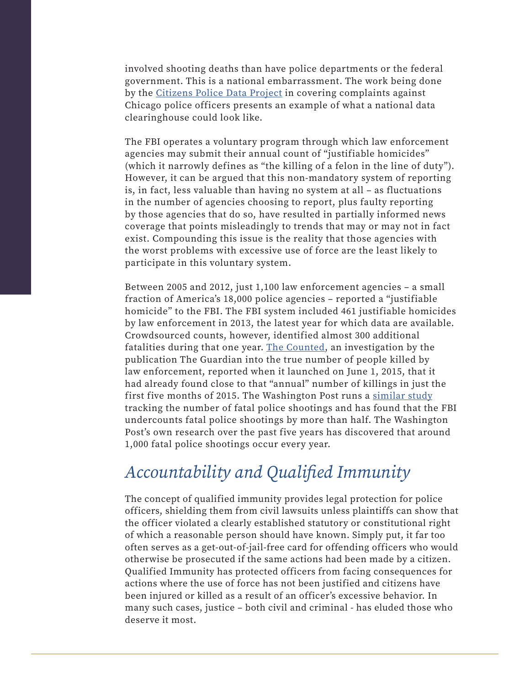involved shooting deaths than have police departments or the federal government. This is a national embarrassment. The work being done by the [Citizens Police Data Project](https://beta.cpdp.co/) in covering complaints against Chicago police officers presents an example of what a national data clearinghouse could look like.

The FBI operates a voluntary program through which law enforcement agencies may submit their annual count of "justifiable homicides" (which it narrowly defines as "the killing of a felon in the line of duty"). However, it can be argued that this non-mandatory system of reporting is, in fact, less valuable than having no system at all – as fluctuations in the number of agencies choosing to report, plus faulty reporting by those agencies that do so, have resulted in partially informed news coverage that points misleadingly to trends that may or may not in fact exist. Compounding this issue is the reality that those agencies with the worst problems with excessive use of force are the least likely to participate in this voluntary system.

Between 2005 and 2012, just 1,100 law enforcement agencies – a small fraction of America's 18,000 police agencies – reported a "justifiable homicide" to the FBI. The FBI system included 461 justifiable homicides by law enforcement in 2013, the latest year for which data are available. Crowdsourced counts, however, identified almost 300 additional fatalities during that one year. [The Counted](https://www.theguardian.com/us-news/series/counted-us-police-killings), an investigation by the publication The Guardian into the true number of people killed by law enforcement, reported when it launched on June 1, 2015, that it had already found close to that "annual" number of killings in just the first five months of 2015. The Washington Post runs a [similar study](https://www.washingtonpost.com/graphics/investigations/police-shootings-database/) tracking the number of fatal police shootings and has found that the FBI undercounts fatal police shootings by more than half. The Washington Post's own research over the past five years has discovered that around 1,000 fatal police shootings occur every year.

### *Accountability and Qualified Immunity*

The concept of qualified immunity provides legal protection for police officers, shielding them from civil lawsuits unless plaintiffs can show that the officer violated a clearly established statutory or constitutional right of which a reasonable person should have known. Simply put, it far too often serves as a get-out-of-jail-free card for offending officers who would otherwise be prosecuted if the same actions had been made by a citizen. Qualified Immunity has protected officers from facing consequences for actions where the use of force has not been justified and citizens have been injured or killed as a result of an officer's excessive behavior. In many such cases, justice – both civil and criminal - has eluded those who deserve it most.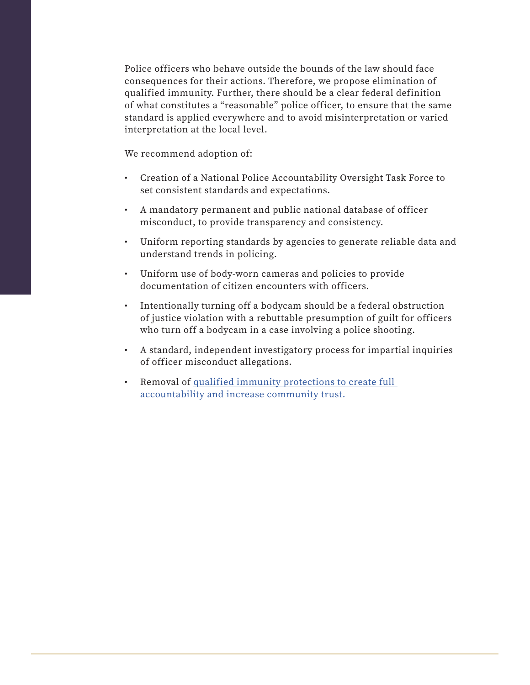Police officers who behave outside the bounds of the law should face consequences for their actions. Therefore, we propose elimination of qualified immunity. Further, there should be a clear federal definition of what constitutes a "reasonable" police officer, to ensure that the same standard is applied everywhere and to avoid misinterpretation or varied interpretation at the local level.

We recommend adoption of:

- Creation of a National Police Accountability Oversight Task Force to set consistent standards and expectations.
- A mandatory permanent and public national database of officer misconduct, to provide transparency and consistency.
- Uniform reporting standards by agencies to generate reliable data and understand trends in policing.
- Uniform use of body-worn cameras and policies to provide documentation of citizen encounters with officers.
- Intentionally turning off a bodycam should be a federal obstruction of justice violation with a rebuttable presumption of guilt for officers who turn off a bodycam in a case involving a police shooting.
- A standard, independent investigatory process for impartial inquiries of officer misconduct allegations.
- Removal of qualified immunity protections to create full [accountability and increase community trust.](https://www.cnn.com/2020/08/04/politics/qualified-immunity-federal-judge/index.html)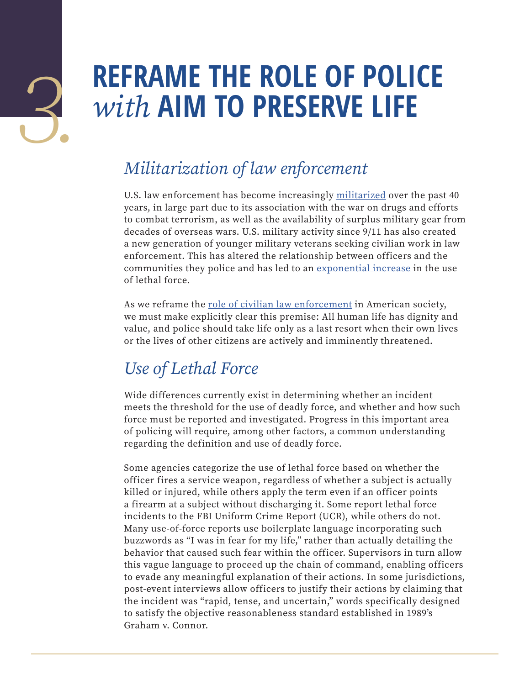# **3. REFRAME THE ROLE OF POLICE**<br>*With AIM TO PRESERVE LIFE with* **AIM TO PRESERVE LIFE**

### *Militarization of law enforcement*

U.S. law enforcement has become increasingly [militarized](https://www.americanbar.org/groups/crsj/publications/human_rights_magazine_home/2016-17-vol-42/vol-42-no-1/police-militarization-and-the-war-on-citizens/) over the past 40 years, in large part due to its association with the war on drugs and efforts to combat terrorism, as well as the availability of surplus military gear from decades of overseas wars. U.S. military activity since 9/11 has also created a new generation of younger military veterans seeking civilian work in law enforcement. This has altered the relationship between officers and the communities they police and has led to an [exponential increase](https://journals.sagepub.com/doi/full/10.1177/1065912918784209) in the use of lethal force.

As we reframe the [role of civilian law enforcement](https://sports.yahoo.com/george-floyd-death-in-custody-puts-spotlight-on-warrior-training-for-police-195640810.html) in American society, we must make explicitly clear this premise: All human life has dignity and value, and police should take life only as a last resort when their own lives or the lives of other citizens are actively and imminently threatened.

### *Use of Lethal Force*

Wide differences currently exist in determining whether an incident meets the threshold for the use of deadly force, and whether and how such force must be reported and investigated. Progress in this important area of policing will require, among other factors, a common understanding regarding the definition and use of deadly force.

Some agencies categorize the use of lethal force based on whether the officer fires a service weapon, regardless of whether a subject is actually killed or injured, while others apply the term even if an officer points a firearm at a subject without discharging it. Some report lethal force incidents to the FBI Uniform Crime Report (UCR), while others do not. Many use-of-force reports use boilerplate language incorporating such buzzwords as "I was in fear for my life," rather than actually detailing the behavior that caused such fear within the officer. Supervisors in turn allow this vague language to proceed up the chain of command, enabling officers to evade any meaningful explanation of their actions. In some jurisdictions, post-event interviews allow officers to justify their actions by claiming that the incident was "rapid, tense, and uncertain," words specifically designed to satisfy the objective reasonableness standard established in 1989's Graham v. Connor.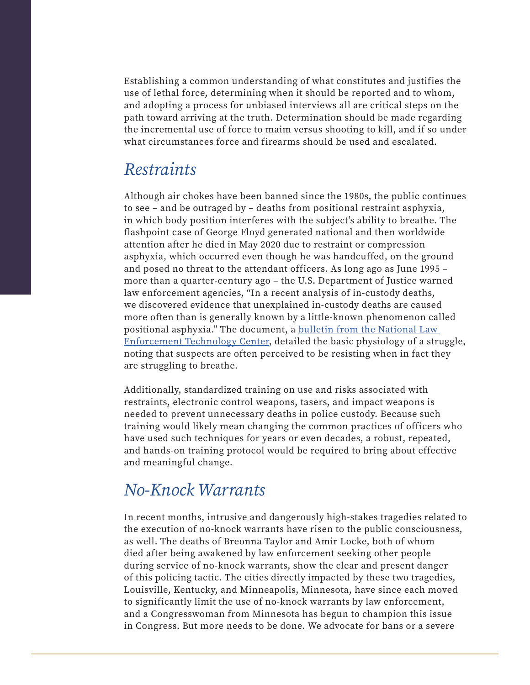Establishing a common understanding of what constitutes and justifies the use of lethal force, determining when it should be reported and to whom, and adopting a process for unbiased interviews all are critical steps on the path toward arriving at the truth. Determination should be made regarding the incremental use of force to maim versus shooting to kill, and if so under what circumstances force and firearms should be used and escalated.

#### *Restraints*

Although air chokes have been banned since the 1980s, the public continues to see – and be outraged by – deaths from positional restraint asphyxia, in which body position interferes with the subject's ability to breathe. The flashpoint case of George Floyd generated national and then worldwide attention after he died in May 2020 due to restraint or compression asphyxia, which occurred even though he was handcuffed, on the ground and posed no threat to the attendant officers. As long ago as June 1995 – more than a quarter-century ago – the U.S. Department of Justice warned law enforcement agencies, "In a recent analysis of in-custody deaths, we discovered evidence that unexplained in-custody deaths are caused more often than is generally known by a little-known phenomenon called positional asphyxia." The document, a [bulletin from the National Law](https://www.ncjrs.gov/pdffiles/posasph.pdf)  [Enforcement Technology Center,](https://www.ncjrs.gov/pdffiles/posasph.pdf) detailed the basic physiology of a struggle, noting that suspects are often perceived to be resisting when in fact they are struggling to breathe.

Additionally, standardized training on use and risks associated with restraints, electronic control weapons, tasers, and impact weapons is needed to prevent unnecessary deaths in police custody. Because such training would likely mean changing the common practices of officers who have used such techniques for years or even decades, a robust, repeated, and hands-on training protocol would be required to bring about effective and meaningful change.

### *No-Knock Warrants*

In recent months, intrusive and dangerously high-stakes tragedies related to the execution of no-knock warrants have risen to the public consciousness, as well. The deaths of Breonna Taylor and Amir Locke, both of whom died after being awakened by law enforcement seeking other people during service of no-knock warrants, show the clear and present danger of this policing tactic. The cities directly impacted by these two tragedies, Louisville, Kentucky, and Minneapolis, Minnesota, have since each moved to significantly limit the use of no-knock warrants by law enforcement, and a Congresswoman from Minnesota has begun to champion this issue in Congress. But more needs to be done. We advocate for bans or a severe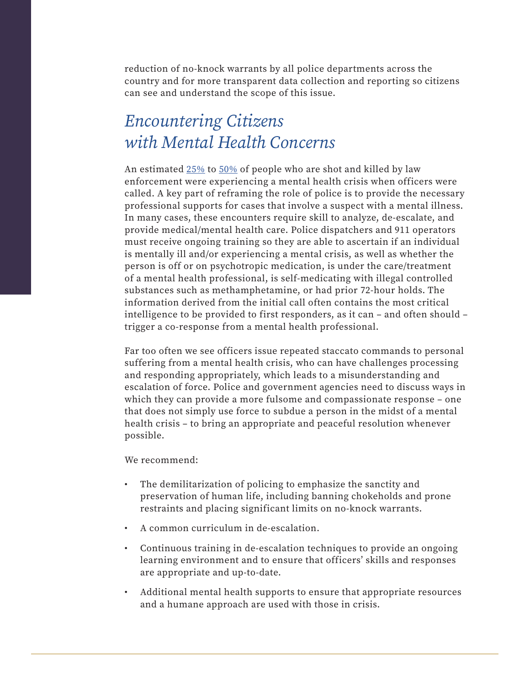reduction of no-knock warrants by all police departments across the country and for more transparent data collection and reporting so citizens can see and understand the scope of this issue.

### *Encountering Citizens with Mental Health Concerns*

An estimated [25%](https://ibpf.org/how-mental-illness-affects-police-shooting-fatalities/) to [50%](https://namiillinois.org/half-people-killed-police-disability-report/) of people who are shot and killed by law enforcement were experiencing a mental health crisis when officers were called. A key part of reframing the role of police is to provide the necessary professional supports for cases that involve a suspect with a mental illness. In many cases, these encounters require skill to analyze, de-escalate, and provide medical/mental health care. Police dispatchers and 911 operators must receive ongoing training so they are able to ascertain if an individual is mentally ill and/or experiencing a mental crisis, as well as whether the person is off or on psychotropic medication, is under the care/treatment of a mental health professional, is self-medicating with illegal controlled substances such as methamphetamine, or had prior 72-hour holds. The information derived from the initial call often contains the most critical intelligence to be provided to first responders, as it can – and often should – trigger a co-response from a mental health professional.

Far too often we see officers issue repeated staccato commands to personal suffering from a mental health crisis, who can have challenges processing and responding appropriately, which leads to a misunderstanding and escalation of force. Police and government agencies need to discuss ways in which they can provide a more fulsome and compassionate response – one that does not simply use force to subdue a person in the midst of a mental health crisis – to bring an appropriate and peaceful resolution whenever possible.

We recommend:

- The demilitarization of policing to emphasize the sanctity and preservation of human life, including banning chokeholds and prone restraints and placing significant limits on no-knock warrants.
- A common curriculum in de-escalation.
- Continuous training in de-escalation techniques to provide an ongoing learning environment and to ensure that officers' skills and responses are appropriate and up-to-date.
- Additional mental health supports to ensure that appropriate resources and a humane approach are used with those in crisis.